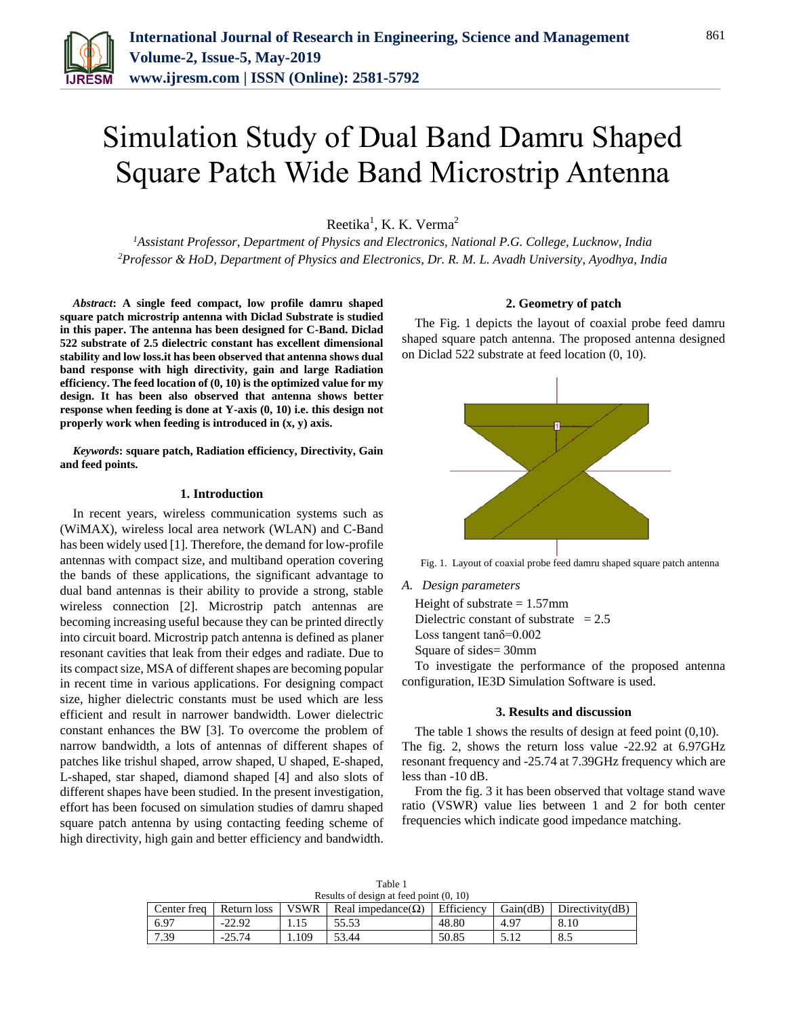

# Simulation Study of Dual Band Damru Shaped Square Patch Wide Band Microstrip Antenna

Reetika<sup>1</sup>, K. K. Verma<sup>2</sup>

*<sup>1</sup>Assistant Professor, Department of Physics and Electronics, National P.G. College, Lucknow, India <sup>2</sup>Professor & HoD, Department of Physics and Electronics, Dr. R. M. L. Avadh University, Ayodhya, India*

*Abstract***: A single feed compact, low profile damru shaped square patch microstrip antenna with Diclad Substrate is studied in this paper. The antenna has been designed for C-Band. Diclad 522 substrate of 2.5 dielectric constant has excellent dimensional stability and low loss.it has been observed that antenna shows dual band response with high directivity, gain and large Radiation efficiency. The feed location of (0, 10) is the optimized value for my design. It has been also observed that antenna shows better response when feeding is done at Y-axis (0, 10) i.e. this design not properly work when feeding is introduced in (x, y) axis.**

*Keywords***: square patch, Radiation efficiency, Directivity, Gain and feed points.**

#### **1. Introduction**

In recent years, wireless communication systems such as (WiMAX), wireless local area network (WLAN) and C-Band has been widely used [1]. Therefore, the demand for low-profile antennas with compact size, and multiband operation covering the bands of these applications, the significant advantage to dual band antennas is their ability to provide a strong, stable wireless connection [2]. Microstrip patch antennas are becoming increasing useful because they can be printed directly into circuit board. Microstrip patch antenna is defined as planer resonant cavities that leak from their edges and radiate. Due to its compact size, MSA of different shapes are becoming popular in recent time in various applications. For designing compact size, higher dielectric constants must be used which are less efficient and result in narrower bandwidth. Lower dielectric constant enhances the BW [3]. To overcome the problem of narrow bandwidth, a lots of antennas of different shapes of patches like trishul shaped, arrow shaped, U shaped, E-shaped, L-shaped, star shaped, diamond shaped [4] and also slots of different shapes have been studied. In the present investigation, effort has been focused on simulation studies of damru shaped square patch antenna by using contacting feeding scheme of high directivity, high gain and better efficiency and bandwidth.

## **2. Geometry of patch**

The Fig. 1 depicts the layout of coaxial probe feed damru shaped square patch antenna. The proposed antenna designed on Diclad 522 substrate at feed location (0, 10).



Fig. 1. Layout of coaxial probe feed damru shaped square patch antenna

*A. Design parameters*

Height of substrate  $= 1.57$ mm Dielectric constant of substrate  $= 2.5$ 

Loss tangent tanδ=0.002

Square of sides= 30mm

To investigate the performance of the proposed antenna configuration, IE3D Simulation Software is used.

#### **3. Results and discussion**

The table 1 shows the results of design at feed point (0,10). The fig. 2, shows the return loss value -22.92 at 6.97GHz resonant frequency and -25.74 at 7.39GHz frequency which are less than -10 dB.

From the fig. 3 it has been observed that voltage stand wave ratio (VSWR) value lies between 1 and 2 for both center frequencies which indicate good impedance matching.

| Results of design at feed point (0, 10) |             |     |                                |            |               |                        |
|-----------------------------------------|-------------|-----|--------------------------------|------------|---------------|------------------------|
| Center freq                             | Return loss |     | VSWR Real impedance $(\Omega)$ | Efficiency | Gain(dB)      | $\Box$ Directivity(dB) |
| 6.97                                    | $-22.92$    |     | 55.53                          | 48.80      | $4.9^{\circ}$ | 8.10                   |
| 7.39                                    | $-25.74$    | 109 | 53.44                          | 50.85      | 5.12          | 8.5                    |

Table 1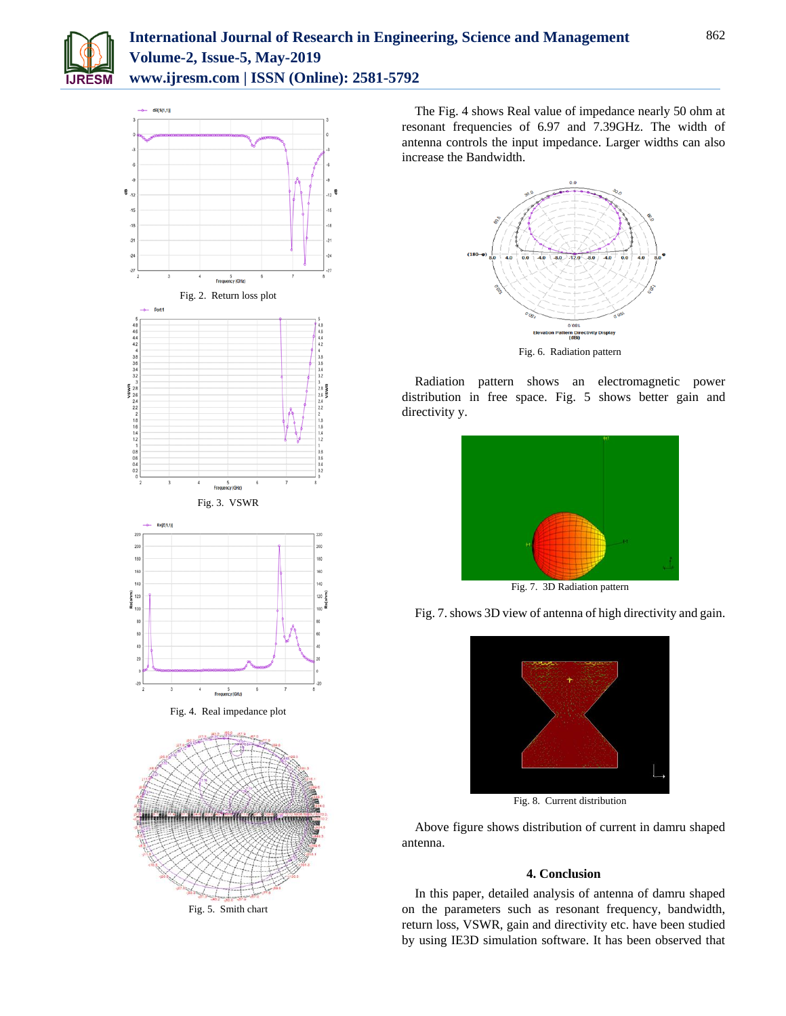



Fig. 5. Smith chart

The Fig. 4 shows Real value of impedance nearly 50 ohm at resonant frequencies of 6.97 and 7.39GHz. The width of antenna controls the input impedance. Larger widths can also increase the Bandwidth.



Radiation pattern shows an electromagnetic power distribution in free space. Fig. 5 shows better gain and directivity y.



Fig. 7. 3D Radiation pattern





Fig. 8. Current distribution

Above figure shows distribution of current in damru shaped antenna.

# **4. Conclusion**

In this paper, detailed analysis of antenna of damru shaped on the parameters such as resonant frequency, bandwidth, return loss, VSWR, gain and directivity etc. have been studied by using IE3D simulation software. It has been observed that